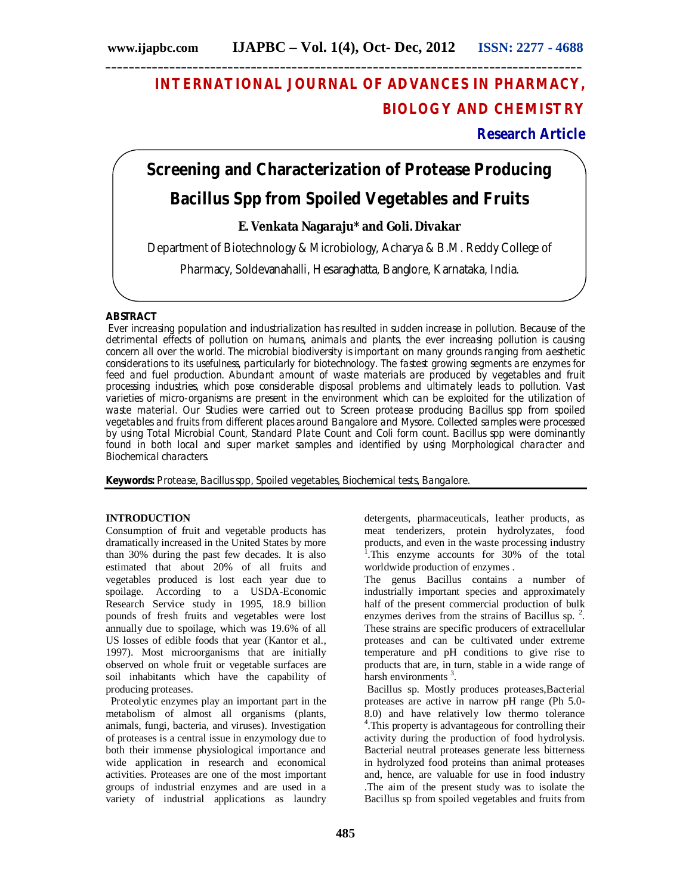# **INTERNATIONAL JOURNAL OF ADVANCES IN PHARMACY, BIOLOGY AND CHEMISTRY**

**Research Article**

# **Screening and Characterization of Protease Producing Bacillus Spp from Spoiled Vegetables and Fruits**

# **E. Venkata Nagaraju\* and Goli. Divakar**

Department of Biotechnology & Microbiology, Acharya & B.M. Reddy College of

Pharmacy, Soldevanahalli, Hesaraghatta, Banglore, Karnataka, India.

# **ABSTRACT**

Ever increasing population and industrialization has resulted in sudden increase in pollution. Because of the detrimental effects of pollution on humans, animals and plants, the ever increasing pollution is causing concern all over the world. The microbial biodiversity is important on many grounds ranging from aesthetic considerations to its usefulness, particularly for biotechnology. The fastest growing segments are enzymes for feed and fuel production. Abundant amount of waste materials are produced by vegetables and fruit processing industries, which pose considerable disposal problems and ultimately leads to pollution. Vast varieties of micro-organisms are present in the environment which can be exploited for the utilization of waste material. Our Studies were carried out to Screen protease producing Bacillus spp from spoiled vegetables and fruits from different places around Bangalore and Mysore. Collected samples were processed by using Total Microbial Count, Standard Plate Count and Coli form count. Bacillus spp were dominantly found in both local and super market samples and identified by using Morphological character and Biochemical characters.

**Keywords:** Protease, Bacillus spp, Spoiled vegetables, Biochemical tests, Bangalore.

# **INTRODUCTION**

Consumption of fruit and vegetable products has dramatically increased in the United States by more than 30% during the past few decades. It is also estimated that about 20% of all fruits and vegetables produced is lost each year due to spoilage. According to a USDA-Economic Research Service study in 1995, 18.9 billion pounds of fresh fruits and vegetables were lost annually due to spoilage, which was 19.6% of all US losses of edible foods that year (Kantor et al., 1997). Most microorganisms that are initially observed on whole fruit or vegetable surfaces are soil inhabitants which have the capability of producing proteases.

 Proteolytic enzymes play an important part in the metabolism of almost all organisms (plants, animals, fungi, bacteria, and viruses). Investigation of proteases is a central issue in enzymology due to both their immense physiological importance and wide application in research and economical activities. Proteases are one of the most important groups of industrial enzymes and are used in a variety of industrial applications as laundry

products that are, in turn, stable in a wide range of harsh environments<sup>3</sup>. Bacillus sp. Mostly produces proteases,Bacterial proteases are active in narrow pH range (Ph 5.0-

worldwide production of enzymes .

8.0) and have relatively low thermo tolerance 4 .This property is advantageous for controlling their activity during the production of food hydrolysis. Bacterial neutral proteases generate less bitterness in hydrolyzed food proteins than animal proteases and, hence, are valuable for use in food industry .The aim of the present study was to isolate the Bacillus sp from spoiled vegetables and fruits from

detergents, pharmaceuticals, leather products, as meat tenderizers, protein hydrolyzates, food products, and even in the waste processing industry <sup>1</sup>. This enzyme accounts for 30% of the total

The genus Bacillus contains a number of industrially important species and approximately half of the present commercial production of bulk enzymes derives from the strains of Bacillus sp.  $2$ . These strains are specific producers of extracellular proteases and can be cultivated under extreme temperature and pH conditions to give rise to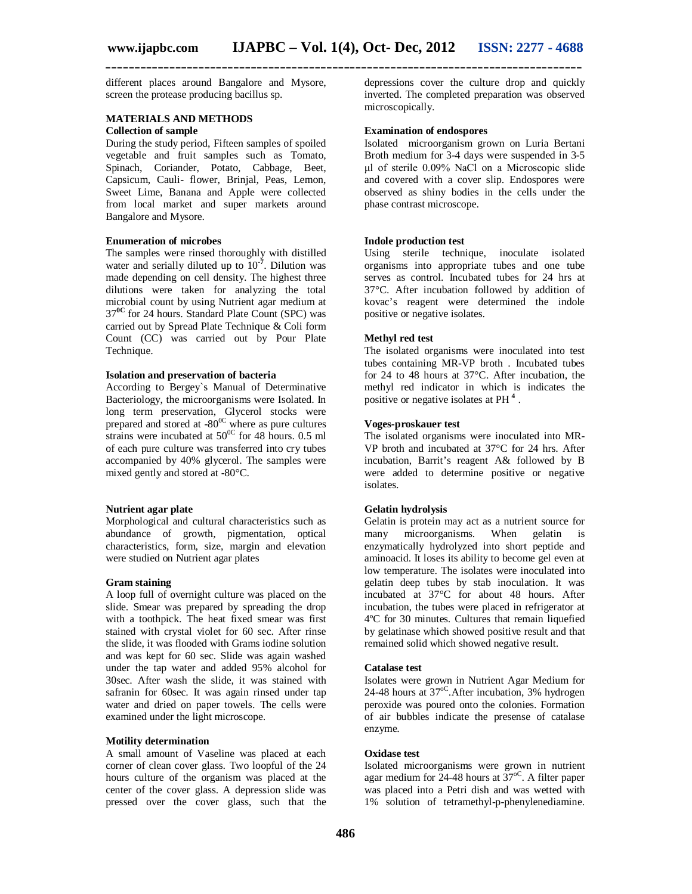different places around Bangalore and Mysore, screen the protease producing bacillus sp.

# **MATERIALS AND METHODS Collection of sample**

During the study period, Fifteen samples of spoiled vegetable and fruit samples such as Tomato, Spinach, Coriander, Potato, Cabbage, Beet, Capsicum, Cauli- flower, Brinjal, Peas, Lemon, Sweet Lime, Banana and Apple were collected from local market and super markets around Bangalore and Mysore.

#### **Enumeration of microbes**

The samples were rinsed thoroughly with distilled water and serially diluted up to 10<sup>-7</sup>. Dilution was made depending on cell density. The highest three dilutions were taken for analyzing the total microbial count by using Nutrient agar medium at 37**0C** for 24 hours. Standard Plate Count (SPC) was carried out by Spread Plate Technique & Coli form Count (CC) was carried out by Pour Plate Technique.

#### **Isolation and preservation of bacteria**

According to Bergey`s Manual of Determinative Bacteriology, the microorganisms were Isolated. In long term preservation, Glycerol stocks were prepared and stored at  $-80^{\circ}$  where as pure cultures strains were incubated at  $50^{\circ}$  for 48 hours. 0.5 ml of each pure culture was transferred into cry tubes accompanied by 40% glycerol. The samples were mixed gently and stored at -80°C.

# **Nutrient agar plate**

Morphological and cultural characteristics such as abundance of growth, pigmentation, optical characteristics, form, size, margin and elevation were studied on Nutrient agar plates

#### **Gram staining**

A loop full of overnight culture was placed on the slide. Smear was prepared by spreading the drop with a toothpick. The heat fixed smear was first stained with crystal violet for 60 sec. After rinse the slide, it was flooded with Grams iodine solution and was kept for 60 sec. Slide was again washed under the tap water and added 95% alcohol for 30sec. After wash the slide, it was stained with safranin for 60sec. It was again rinsed under tap water and dried on paper towels. The cells were examined under the light microscope.

# **Motility determination**

A small amount of Vaseline was placed at each corner of clean cover glass. Two loopful of the 24 hours culture of the organism was placed at the center of the cover glass. A depression slide was pressed over the cover glass, such that the depressions cover the culture drop and quickly inverted. The completed preparation was observed microscopically.

### **Examination of endospores**

Isolated microorganism grown on Luria Bertani Broth medium for 3-4 days were suspended in 3-5 μl of sterile 0.09% NaCl on a Microscopic slide and covered with a cover slip. Endospores were observed as shiny bodies in the cells under the phase contrast microscope.

#### **Indole production test**

Using sterile technique, inoculate isolated organisms into appropriate tubes and one tube serves as control. Incubated tubes for 24 hrs at 37°C. After incubation followed by addition of kovac's reagent were determined the indole positive or negative isolates.

#### **Methyl red test**

The isolated organisms were inoculated into test tubes containing MR-VP broth . Incubated tubes for 24 to 48 hours at 37°C. After incubation, the methyl red indicator in which is indicates the positive or negative isolates at PH **<sup>4</sup>** .

#### **Voges-proskauer test**

The isolated organisms were inoculated into MR-VP broth and incubated at 37°C for 24 hrs. After incubation, Barrit's reagent A& followed by B were added to determine positive or negative isolates.

# **Gelatin hydrolysis**

Gelatin is protein may act as a nutrient source for<br>many microorganisms. When gelatin is many microorganisms. When gelatin is enzymatically hydrolyzed into short peptide and aminoacid. It loses its ability to become gel even at low temperature. The isolates were inoculated into gelatin deep tubes by stab inoculation. It was incubated at 37°C for about 48 hours. After incubation, the tubes were placed in refrigerator at 4ºC for 30 minutes. Cultures that remain liquefied by gelatinase which showed positive result and that remained solid which showed negative result.

#### **Catalase test**

Isolates were grown in Nutrient Agar Medium for 24-48 hours at 37<sup>oC</sup>. After incubation, 3% hydrogen peroxide was poured onto the colonies. Formation of air bubbles indicate the presense of catalase enzyme.

#### **Oxidase test**

Isolated microorganisms were grown in nutrient agar medium for  $24-48$  hours at  $37^{\circ}$ C. A filter paper was placed into a Petri dish and was wetted with 1% solution of tetramethyl-p-phenylenediamine.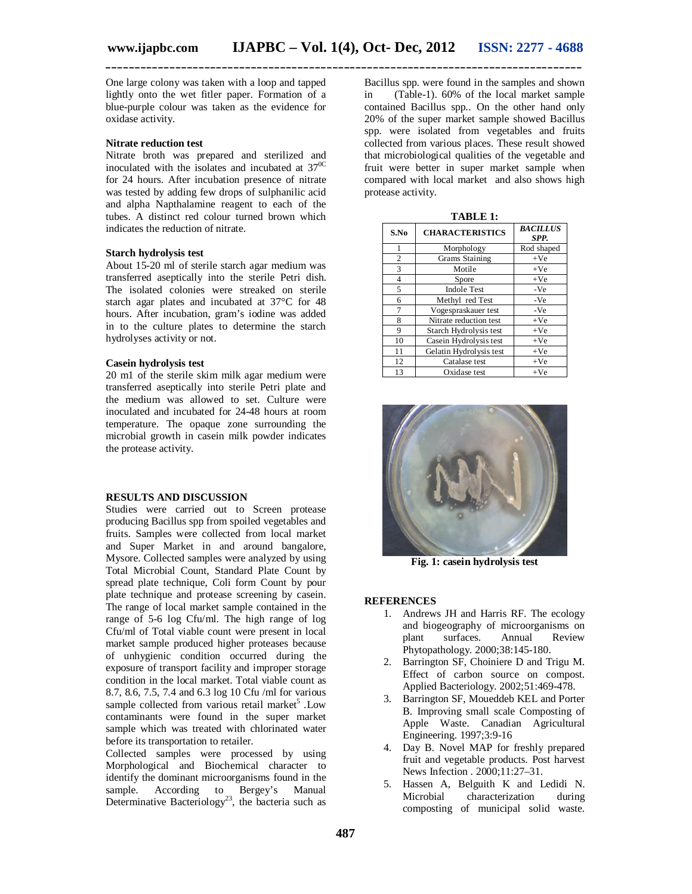**\_\_\_\_\_\_\_\_\_\_\_\_\_\_\_\_\_\_\_\_\_\_\_\_\_\_\_\_\_\_\_\_\_\_\_\_\_\_\_\_\_\_\_\_\_\_\_\_\_\_\_\_\_\_\_\_\_\_\_\_\_\_\_\_\_\_\_\_\_\_\_\_\_\_\_\_\_\_\_\_\_\_** One large colony was taken with a loop and tapped lightly onto the wet fitler paper. Formation of a blue-purple colour was taken as the evidence for

# **Nitrate reduction test**

oxidase activity.

Nitrate broth was prepared and sterilized and inoculated with the isolates and incubated at  $37^{\circ}$ C for 24 hours. After incubation presence of nitrate was tested by adding few drops of sulphanilic acid and alpha Napthalamine reagent to each of the tubes. A distinct red colour turned brown which indicates the reduction of nitrate.

#### **Starch hydrolysis test**

About 15-20 ml of sterile starch agar medium was transferred aseptically into the sterile Petri dish. The isolated colonies were streaked on sterile starch agar plates and incubated at 37°C for 48 hours. After incubation, gram's iodine was added in to the culture plates to determine the starch hydrolyses activity or not.

#### **Casein hydrolysis test**

20 m1 of the sterile skim milk agar medium were transferred aseptically into sterile Petri plate and the medium was allowed to set. Culture were inoculated and incubated for 24-48 hours at room temperature. The opaque zone surrounding the microbial growth in casein milk powder indicates the protease activity.

#### **RESULTS AND DISCUSSION**

Studies were carried out to Screen protease producing Bacillus spp from spoiled vegetables and fruits. Samples were collected from local market and Super Market in and around bangalore, Mysore. Collected samples were analyzed by using Total Microbial Count, Standard Plate Count by spread plate technique, Coli form Count by pour plate technique and protease screening by casein. The range of local market sample contained in the range of 5-6 log Cfu/ml. The high range of log Cfu/ml of Total viable count were present in local market sample produced higher proteases because of unhygienic condition occurred during the exposure of transport facility and improper storage condition in the local market. Total viable count as 8.7, 8.6, 7.5, 7.4 and 6.3 log 10 Cfu /ml for various sample collected from various retail market<sup>5</sup>. Low contaminants were found in the super market sample which was treated with chlorinated water before its transportation to retailer.

Collected samples were processed by using Morphological and Biochemical character to identify the dominant microorganisms found in the sample. According to Bergey's Manual Determinative Bacteriology<sup>23</sup>, the bacteria such as

Bacillus spp. were found in the samples and shown in (Table-1). 60% of the local market sample contained Bacillus spp.. On the other hand only 20% of the super market sample showed Bacillus spp. were isolated from vegetables and fruits collected from various places. These result showed that microbiological qualities of the vegetable and fruit were better in super market sample when compared with local market and also shows high protease activity.

| <b>TABLE 1:</b> |                         |                         |
|-----------------|-------------------------|-------------------------|
| S.No            | <b>CHARACTERISTICS</b>  | <b>BACILLUS</b><br>SPP. |
| 1               | Morphology              | Rod shaped              |
| 2               | Grams Staining          | $+Ve$                   |
| 3               | Motile                  | $+Ve$                   |
| $\overline{4}$  | Spore                   | $+Ve$                   |
| 5               | <b>Indole Test</b>      | $-Ve$                   |
| 6               | Methyl red Test         | -Ve                     |
| 7               | Vogespraskauer test     | $-Ve$                   |
| 8               | Nitrate reduction test  | $+Ve$                   |
| 9               | Starch Hydrolysis test  | $+Ve$                   |
| 10              | Casein Hydrolysis test  | $+Ve$                   |
| 11              | Gelatin Hydrolysis test | $+Ve$                   |
| 12              | Catalase test           | $+Ve$                   |
| 13              | Oxidase test            | $+Ve$                   |

**Fig. 1: casein hydrolysis test**

### **REFERENCES**

- 1. Andrews JH and Harris RF. The ecology and biogeography of microorganisms on plant surfaces. Annual Review Phytopathology. 2000;38:145-180.
- 2. Barrington SF, Choiniere D and Trigu M. Effect of carbon source on compost. Applied Bacteriology. 2002;51:469-478.
- 3. Barrington SF, Moueddeb KEL and Porter B. Improving small scale Composting of Apple Waste. Canadian Agricultural Engineering. 1997;3:9-16
- 4. Day B. Novel MAP for freshly prepared fruit and vegetable products. Post harvest News Infection . 2000;11:27–31.
- 5. Hassen A, Belguith K and Ledidi N. Microbial characterization during composting of municipal solid waste.